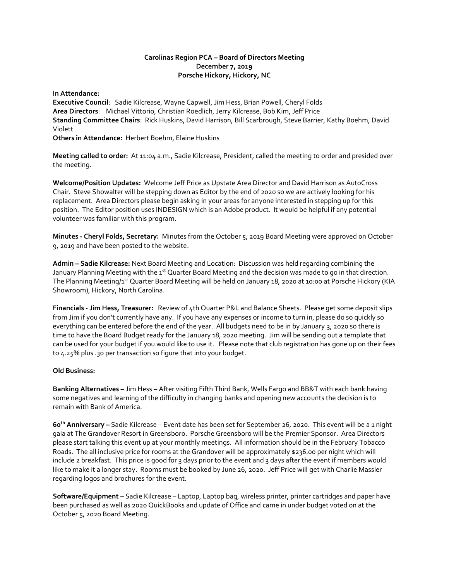## **Carolinas Region PCA – Board of Directors Meeting December 7, 2019 Porsche Hickory, Hickory, NC**

**In Attendance: Executive Council**: Sadie Kilcrease, Wayne Capwell, Jim Hess, Brian Powell, Cheryl Folds **Area Directors**: Michael Vittorio, Christian Roedlich, Jerry Kilcrease, Bob Kim, Jeff Price **Standing Committee Chairs**: Rick Huskins, David Harrison, Bill Scarbrough, Steve Barrier, Kathy Boehm, David Violett **Others in Attendance:** Herbert Boehm, Elaine Huskins

**Meeting called to order:** At 11:04 a.m., Sadie Kilcrease, President, called the meeting to order and presided over the meeting.

**Welcome/Position Updates:** Welcome Jeff Price as Upstate Area Director and David Harrison as AutoCross Chair. Steve Showalter will be stepping down as Editor by the end of 2020 so we are actively looking for his replacement. Area Directors please begin asking in your areas for anyone interested in stepping up for this position. The Editor position uses INDESIGN which is an Adobe product. It would be helpful if any potential volunteer was familiar with this program.

**Minutes - Cheryl Folds, Secretary:** Minutes from the October 5, 2019 Board Meeting were approved on October 9, 2019 and have been posted to the website.

**Admin – Sadie Kilcrease:** Next Board Meeting and Location: Discussion was held regarding combining the January Planning Meeting with the 1<sup>st</sup> Quarter Board Meeting and the decision was made to go in that direction. The Planning Meeting/1<sup>st</sup> Quarter Board Meeting will be held on January 18, 2020 at 10:00 at Porsche Hickory (KIA Showroom), Hickory, North Carolina.

**Financials - Jim Hess, Treasurer:** Review of 4th Quarter P&L and Balance Sheets. Please get some deposit slips from Jim if you don't currently have any. If you have any expenses or income to turn in, please do so quickly so everything can be entered before the end of the year. All budgets need to be in by January 3, 2020 so there is time to have the Board Budget ready for the January 18, 2020 meeting. Jim will be sending out a template that can be used for your budget if you would like to use it. Please note that club registration has gone up on their fees to 4.25% plus .30 per transaction so figure that into your budget.

# **Old Business:**

**Banking Alternatives –** Jim Hess – After visiting Fifth Third Bank, Wells Fargo and BB&T with each bank having some negatives and learning of the difficulty in changing banks and opening new accounts the decision is to remain with Bank of America.

**60 th Anniversary –** Sadie Kilcrease – Event date has been set for September 26, 2020. This event will be a 1 night gala at The Grandover Resort in Greensboro. Porsche Greensboro will be the Premier Sponsor. Area Directors please start talking this event up at your monthly meetings. All information should be in the February Tobacco Roads. The all inclusive price for rooms at the Grandover will be approximately \$236.00 per night which will include 2 breakfast. This price is good for 3 days prior to the event and 3 days after the event if members would like to make it a longer stay. Rooms must be booked by June 26, 2020. Jeff Price will get with Charlie Massler regarding logos and brochures for the event.

**Software/Equipment –** Sadie Kilcrease – Laptop, Laptop bag, wireless printer, printer cartridges and paper have been purchased as well as 2020 QuickBooks and update of Office and came in under budget voted on at the October 5, 2020 Board Meeting.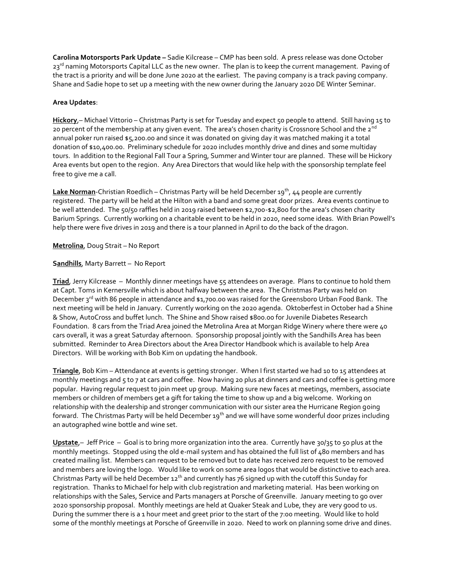**Carolina Motorsports Park Update –** Sadie Kilcrease – CMP has been sold. A press release was done October 23<sup>rd</sup> naming Motorsports Capital LLC as the new owner. The plan is to keep the current management. Paving of the tract is a priority and will be done June 2020 at the earliest. The paving company is a track paving company. Shane and Sadie hope to set up a meeting with the new owner during the January 2020 DE Winter Seminar.

## **Area Updates**:

**Hickory**,– Michael Vittorio – Christmas Party is set for Tuesday and expect 50 people to attend. Still having 15 to 20 percent of the membership at any given event. The area's chosen charity is Crossnore School and the 2<sup>nd</sup> annual poker run raised \$5,200.00 and since it was donated on giving day it was matched making it a total donation of \$10,400.00. Preliminary schedule for 2020 includes monthly drive and dines and some multiday tours. In addition to the Regional Fall Tour a Spring, Summer and Winter tour are planned. These will be Hickory Area events but open to the region. Any Area Directors that would like help with the sponsorship template feel free to give me a call.

Lake Norman-Christian Roedlich – Christmas Party will be held December 19<sup>th</sup>, 44 people are currently registered. The party will be held at the Hilton with a band and some great door prizes. Area events continue to be well attended. The 50/50 raffles held in 2019 raised between \$2,700-\$2,800 for the area's chosen charity Barium Springs. Currently working on a charitable event to be held in 2020, need some ideas. With Brian Powell's help there were five drives in 2019 and there is a tour planned in April to do the back of the dragon.

**Metrolina**, Doug Strait – No Report

**Sandhills**, Marty Barrett – No Report

**Triad**, Jerry Kilcrease – Monthly dinner meetings have 55 attendees on average. Plans to continue to hold them at Capt. Toms in Kernersville which is about halfway between the area. The Christmas Party was held on December 3<sup>rd</sup> with 86 people in attendance and \$1,700.00 was raised for the Greensboro Urban Food Bank. The next meeting will be held in January. Currently working on the 2020 agenda. Oktoberfest in October had a Shine & Show, AutoCross and buffet lunch. The Shine and Show raised \$800.00 for Juvenile Diabetes Research Foundation. 8 cars from the Triad Area joined the Metrolina Area at Morgan Ridge Winery where there were 40 cars overall, it was a great Saturday afternoon. Sponsorship proposal jointly with the Sandhills Area has been submitted. Reminder to Area Directors about the Area Director Handbook which is available to help Area Directors. Will be working with Bob Kim on updating the handbook.

**Triangle**, Bob Kim – Attendance at events is getting stronger. When I first started we had 10 to 15 attendees at monthly meetings and 5 to 7 at cars and coffee. Now having 20 plus at dinners and cars and coffee is getting more popular. Having regular request to join meet up group. Making sure new faces at meetings, members, associate members or children of members get a gift for taking the time to show up and a big welcome. Working on relationship with the dealership and stronger communication with our sister area the Hurricane Region going forward. The Christmas Party will be held December 19<sup>th</sup> and we will have some wonderful door prizes including an autographed wine bottle and wine set.

**Upstate**,– Jeff Price – Goal is to bring more organization into the area. Currently have 30/35 to 50 plus at the monthly meetings. Stopped using the old e-mail system and has obtained the full list of 480 members and has created mailing list. Members can request to be removed but to date has received zero request to be removed and members are loving the logo. Would like to work on some area logos that would be distinctive to each area. Christmas Party will be held December  $12<sup>th</sup>$  and currently has 76 signed up with the cutoff this Sunday for registration. Thanks to Michael for help with club registration and marketing material. Has been working on relationships with the Sales, Service and Parts managers at Porsche of Greenville. January meeting to go over 2020 sponsorship proposal. Monthly meetings are held at Quaker Steak and Lube, they are very good to us. During the summer there is a 1 hour meet and greet prior to the start of the 7:00 meeting. Would like to hold some of the monthly meetings at Porsche of Greenville in 2020. Need to work on planning some drive and dines.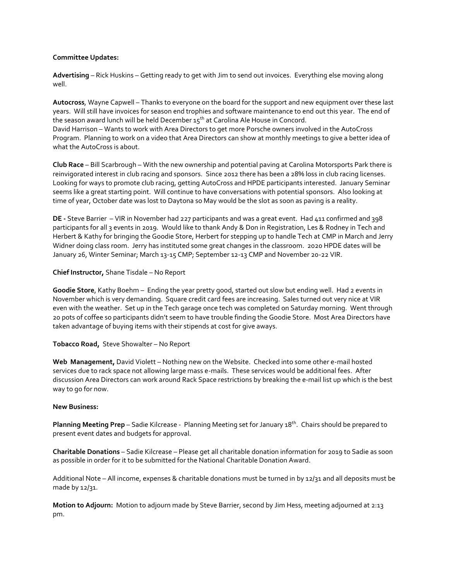### **Committee Updates:**

**Advertising** – Rick Huskins – Getting ready to get with Jim to send out invoices. Everything else moving along well.

**Autocross**, Wayne Capwell – Thanks to everyone on the board for the support and new equipment over these last years. Will still have invoices for season end trophies and software maintenance to end out this year. The end of the season award lunch will be held December  $15<sup>th</sup>$  at Carolina Ale House in Concord. David Harrison – Wants to work with Area Directors to get more Porsche owners involved in the AutoCross Program. Planning to work on a video that Area Directors can show at monthly meetings to give a better idea of what the AutoCross is about.

**Club Race** – Bill Scarbrough – With the new ownership and potential paving at Carolina Motorsports Park there is reinvigorated interest in club racing and sponsors. Since 2012 there has been a 28% loss in club racing licenses. Looking for ways to promote club racing, getting AutoCross and HPDE participants interested. January Seminar seems like a great starting point. Will continue to have conversations with potential sponsors. Also looking at time of year, October date was lost to Daytona so May would be the slot as soon as paving is a reality.

**DE -** Steve Barrier – VIR in November had 227 participants and was a great event. Had 411 confirmed and 398 participants for all 3 events in 2019. Would like to thank Andy & Don in Registration, Les & Rodney in Tech and Herbert & Kathy for bringing the Goodie Store, Herbert for stepping up to handle Tech at CMP in March and Jerry Widner doing class room. Jerry has instituted some great changes in the classroom. 2020 HPDE dates will be January 26, Winter Seminar; March 13-15 CMP; September 12-13 CMP and November 20-22 VIR.

#### **Chief Instructor,** Shane Tisdale – No Report

**Goodie Store**, Kathy Boehm – Ending the year pretty good, started out slow but ending well. Had 2 events in November which is very demanding. Square credit card fees are increasing. Sales turned out very nice at VIR even with the weather. Set up in the Tech garage once tech was completed on Saturday morning. Went through 20 pots of coffee so participants didn't seem to have trouble finding the Goodie Store. Most Area Directors have taken advantage of buying items with their stipends at cost for give aways.

### **Tobacco Road,** Steve Showalter – No Report

**Web Management,** David Violett – Nothing new on the Website. Checked into some other e-mail hosted services due to rack space not allowing large mass e-mails. These services would be additional fees. After discussion Area Directors can work around Rack Space restrictions by breaking the e-mail list up which is the best way to go for now.

#### **New Business:**

**Planning Meeting Prep** – Sadie Kilcrease -Planning Meeting set for January 18th. Chairs should be prepared to present event dates and budgets for approval.

**Charitable Donations** – Sadie Kilcrease – Please get all charitable donation information for 2019 to Sadie as soon as possible in order for it to be submitted for the National Charitable Donation Award.

Additional Note – All income, expenses & charitable donations must be turned in by 12/31 and all deposits must be made by 12/31.

**Motion to Adjourn:** Motion to adjourn made by Steve Barrier, second by Jim Hess, meeting adjourned at 2:13 pm.